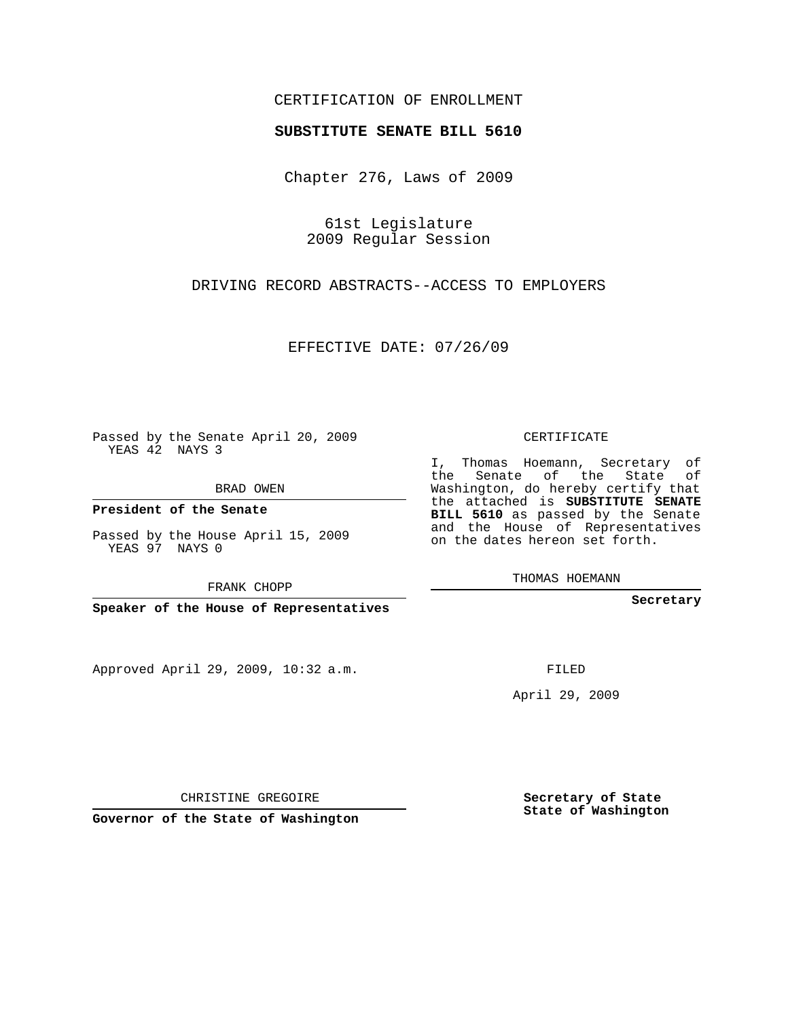## CERTIFICATION OF ENROLLMENT

## **SUBSTITUTE SENATE BILL 5610**

Chapter 276, Laws of 2009

61st Legislature 2009 Regular Session

DRIVING RECORD ABSTRACTS--ACCESS TO EMPLOYERS

EFFECTIVE DATE: 07/26/09

Passed by the Senate April 20, 2009 YEAS 42 NAYS 3

BRAD OWEN

**President of the Senate**

Passed by the House April 15, 2009 YEAS 97 NAYS 0

FRANK CHOPP

**Speaker of the House of Representatives**

Approved April 29, 2009, 10:32 a.m.

CERTIFICATE

I, Thomas Hoemann, Secretary of the Senate of the State of Washington, do hereby certify that the attached is **SUBSTITUTE SENATE BILL 5610** as passed by the Senate and the House of Representatives on the dates hereon set forth.

THOMAS HOEMANN

**Secretary**

FILED

April 29, 2009

**Secretary of State State of Washington**

CHRISTINE GREGOIRE

**Governor of the State of Washington**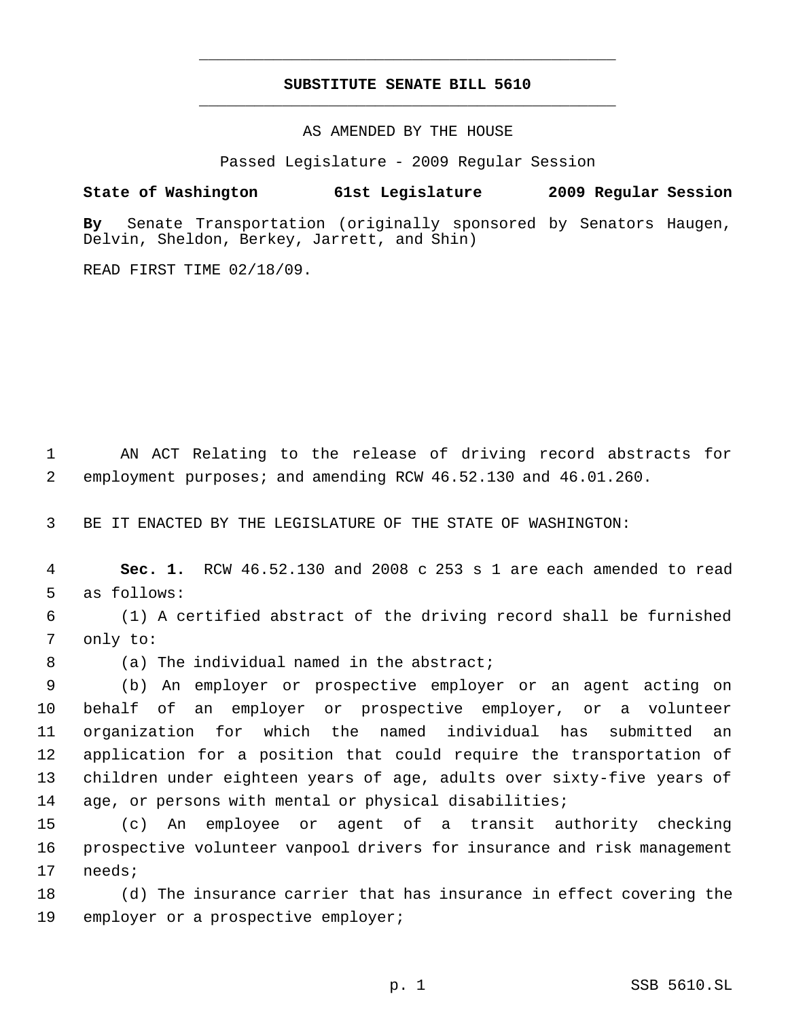## **SUBSTITUTE SENATE BILL 5610** \_\_\_\_\_\_\_\_\_\_\_\_\_\_\_\_\_\_\_\_\_\_\_\_\_\_\_\_\_\_\_\_\_\_\_\_\_\_\_\_\_\_\_\_\_

\_\_\_\_\_\_\_\_\_\_\_\_\_\_\_\_\_\_\_\_\_\_\_\_\_\_\_\_\_\_\_\_\_\_\_\_\_\_\_\_\_\_\_\_\_

AS AMENDED BY THE HOUSE

Passed Legislature - 2009 Regular Session

## **State of Washington 61st Legislature 2009 Regular Session**

**By** Senate Transportation (originally sponsored by Senators Haugen, Delvin, Sheldon, Berkey, Jarrett, and Shin)

READ FIRST TIME 02/18/09.

 AN ACT Relating to the release of driving record abstracts for employment purposes; and amending RCW 46.52.130 and 46.01.260.

BE IT ENACTED BY THE LEGISLATURE OF THE STATE OF WASHINGTON:

 **Sec. 1.** RCW 46.52.130 and 2008 c 253 s 1 are each amended to read as follows:

 (1) A certified abstract of the driving record shall be furnished only to:

8 (a) The individual named in the abstract;

 (b) An employer or prospective employer or an agent acting on behalf of an employer or prospective employer, or a volunteer organization for which the named individual has submitted an application for a position that could require the transportation of children under eighteen years of age, adults over sixty-five years of age, or persons with mental or physical disabilities;

 (c) An employee or agent of a transit authority checking prospective volunteer vanpool drivers for insurance and risk management needs;

 (d) The insurance carrier that has insurance in effect covering the employer or a prospective employer;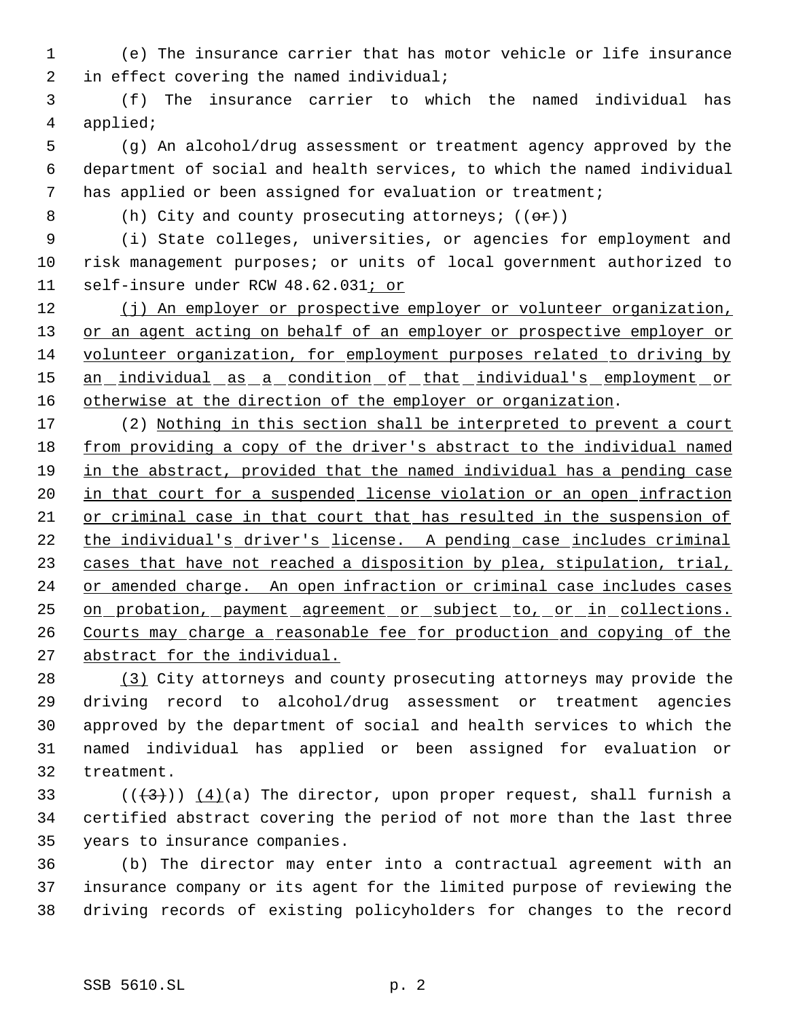(e) The insurance carrier that has motor vehicle or life insurance 2 in effect covering the named individual;

 (f) The insurance carrier to which the named individual has applied;

 (g) An alcohol/drug assessment or treatment agency approved by the department of social and health services, to which the named individual has applied or been assigned for evaluation or treatment;

8 (h) City and county prosecuting attorneys; (( $\Theta$ r))

 (i) State colleges, universities, or agencies for employment and risk management purposes; or units of local government authorized to self-insure under RCW 48.62.031; or

12 (j) An employer or prospective employer or volunteer organization, 13 or an agent acting on behalf of an employer or prospective employer or volunteer organization, for employment purposes related to driving by 15 an individual as a condition of that individual's employment or 16 otherwise at the direction of the employer or organization.

17 (2) Nothing in this section shall be interpreted to prevent a court from providing a copy of the driver's abstract to the individual named in the abstract, provided that the named individual has a pending case 20 in that court for a suspended license violation or an open infraction or criminal case in that court that has resulted in the suspension of the individual's driver's license. A pending case includes criminal 23 cases that have not reached a disposition by plea, stipulation, trial, or amended charge. An open infraction or criminal case includes cases 25 on probation, payment agreement or subject to, or in collections. Courts may charge a reasonable fee for production and copying of the 27 abstract for the individual.

 (3) City attorneys and county prosecuting attorneys may provide the driving record to alcohol/drug assessment or treatment agencies approved by the department of social and health services to which the named individual has applied or been assigned for evaluation or treatment.

33 ( $(\frac{43}{})$ )  $\frac{4}{a}$  (a) The director, upon proper request, shall furnish a certified abstract covering the period of not more than the last three years to insurance companies.

 (b) The director may enter into a contractual agreement with an insurance company or its agent for the limited purpose of reviewing the driving records of existing policyholders for changes to the record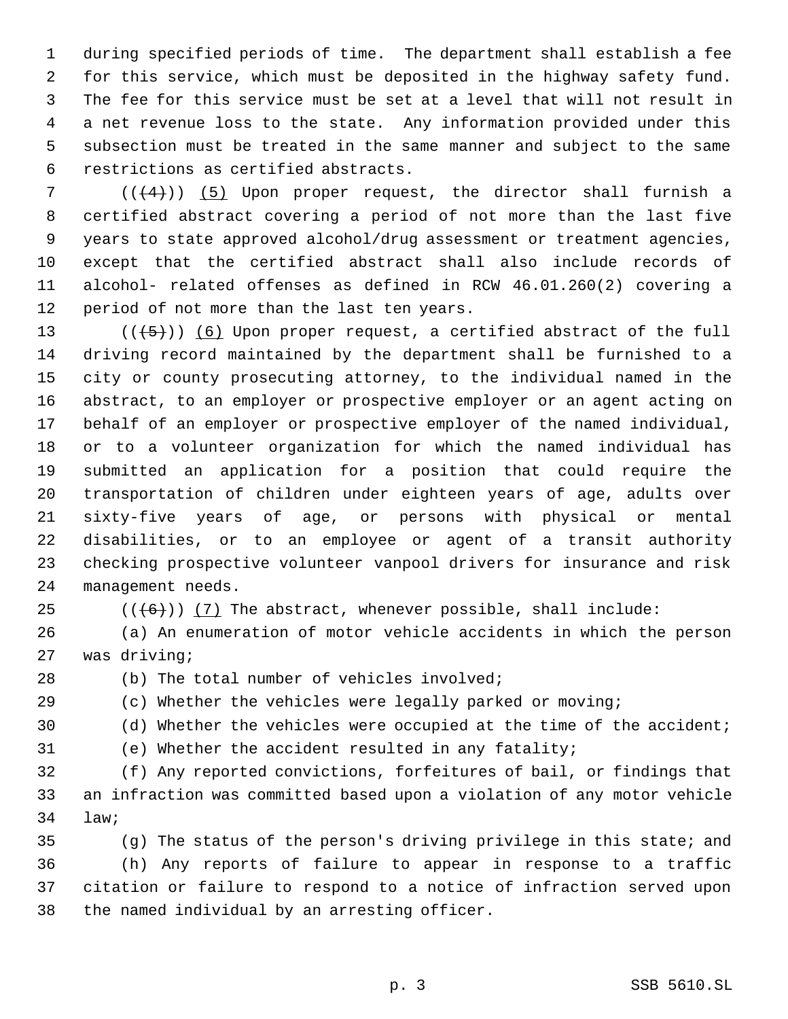during specified periods of time. The department shall establish a fee for this service, which must be deposited in the highway safety fund. The fee for this service must be set at a level that will not result in a net revenue loss to the state. Any information provided under this subsection must be treated in the same manner and subject to the same restrictions as certified abstracts.

 $((+4))$   $(5)$  Upon proper request, the director shall furnish a certified abstract covering a period of not more than the last five years to state approved alcohol/drug assessment or treatment agencies, except that the certified abstract shall also include records of alcohol- related offenses as defined in RCW 46.01.260(2) covering a period of not more than the last ten years.

 $((\overline{5}))$  (6) Upon proper request, a certified abstract of the full driving record maintained by the department shall be furnished to a city or county prosecuting attorney, to the individual named in the abstract, to an employer or prospective employer or an agent acting on behalf of an employer or prospective employer of the named individual, or to a volunteer organization for which the named individual has submitted an application for a position that could require the transportation of children under eighteen years of age, adults over sixty-five years of age, or persons with physical or mental disabilities, or to an employee or agent of a transit authority checking prospective volunteer vanpool drivers for insurance and risk management needs.

25  $((\langle 6 \rangle) )$  (7) The abstract, whenever possible, shall include:

 (a) An enumeration of motor vehicle accidents in which the person was driving;

(b) The total number of vehicles involved;

(c) Whether the vehicles were legally parked or moving;

(d) Whether the vehicles were occupied at the time of the accident;

(e) Whether the accident resulted in any fatality;

 (f) Any reported convictions, forfeitures of bail, or findings that an infraction was committed based upon a violation of any motor vehicle law;

 (g) The status of the person's driving privilege in this state; and (h) Any reports of failure to appear in response to a traffic citation or failure to respond to a notice of infraction served upon the named individual by an arresting officer.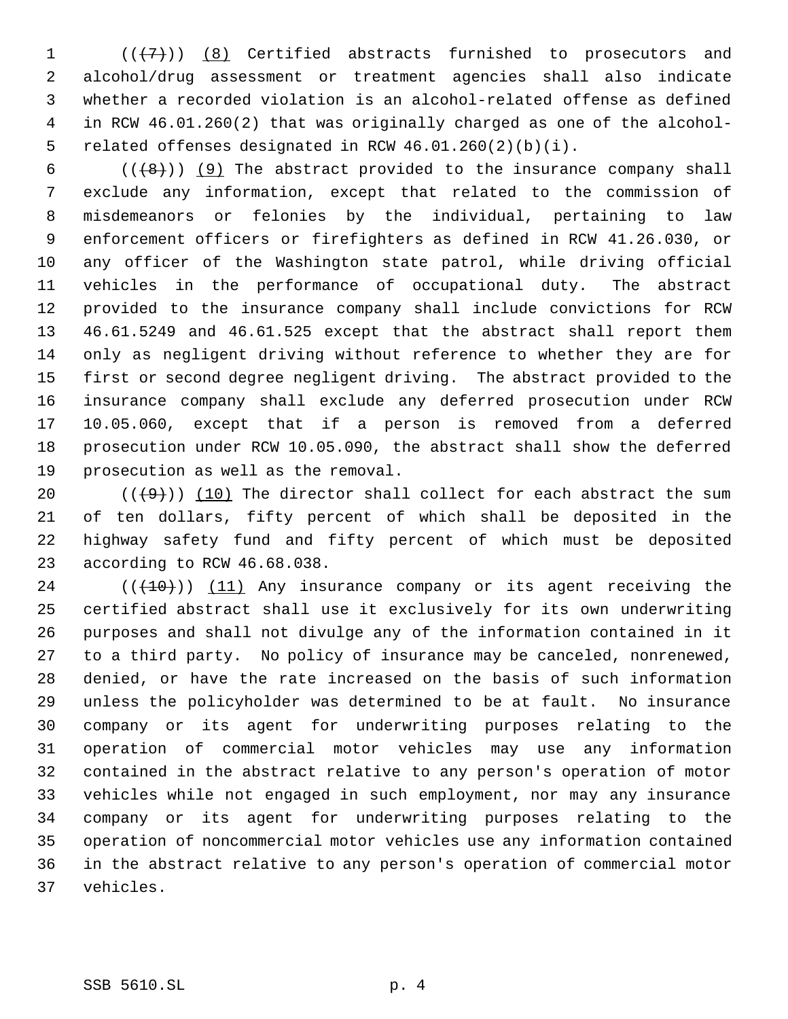$((+7))$   $(8)$  Certified abstracts furnished to prosecutors and alcohol/drug assessment or treatment agencies shall also indicate whether a recorded violation is an alcohol-related offense as defined in RCW 46.01.260(2) that was originally charged as one of the alcohol- related offenses designated in RCW 46.01.260(2)(b)(i).

 $((+8))$  (9) The abstract provided to the insurance company shall exclude any information, except that related to the commission of misdemeanors or felonies by the individual, pertaining to law enforcement officers or firefighters as defined in RCW 41.26.030, or any officer of the Washington state patrol, while driving official vehicles in the performance of occupational duty. The abstract provided to the insurance company shall include convictions for RCW 46.61.5249 and 46.61.525 except that the abstract shall report them only as negligent driving without reference to whether they are for first or second degree negligent driving. The abstract provided to the insurance company shall exclude any deferred prosecution under RCW 10.05.060, except that if a person is removed from a deferred prosecution under RCW 10.05.090, the abstract shall show the deferred prosecution as well as the removal.

 $((+9))$  (10) The director shall collect for each abstract the sum of ten dollars, fifty percent of which shall be deposited in the highway safety fund and fifty percent of which must be deposited according to RCW 46.68.038.

 (( $(10)$ )) (11) Any insurance company or its agent receiving the certified abstract shall use it exclusively for its own underwriting purposes and shall not divulge any of the information contained in it to a third party. No policy of insurance may be canceled, nonrenewed, denied, or have the rate increased on the basis of such information unless the policyholder was determined to be at fault. No insurance company or its agent for underwriting purposes relating to the operation of commercial motor vehicles may use any information contained in the abstract relative to any person's operation of motor vehicles while not engaged in such employment, nor may any insurance company or its agent for underwriting purposes relating to the operation of noncommercial motor vehicles use any information contained in the abstract relative to any person's operation of commercial motor vehicles.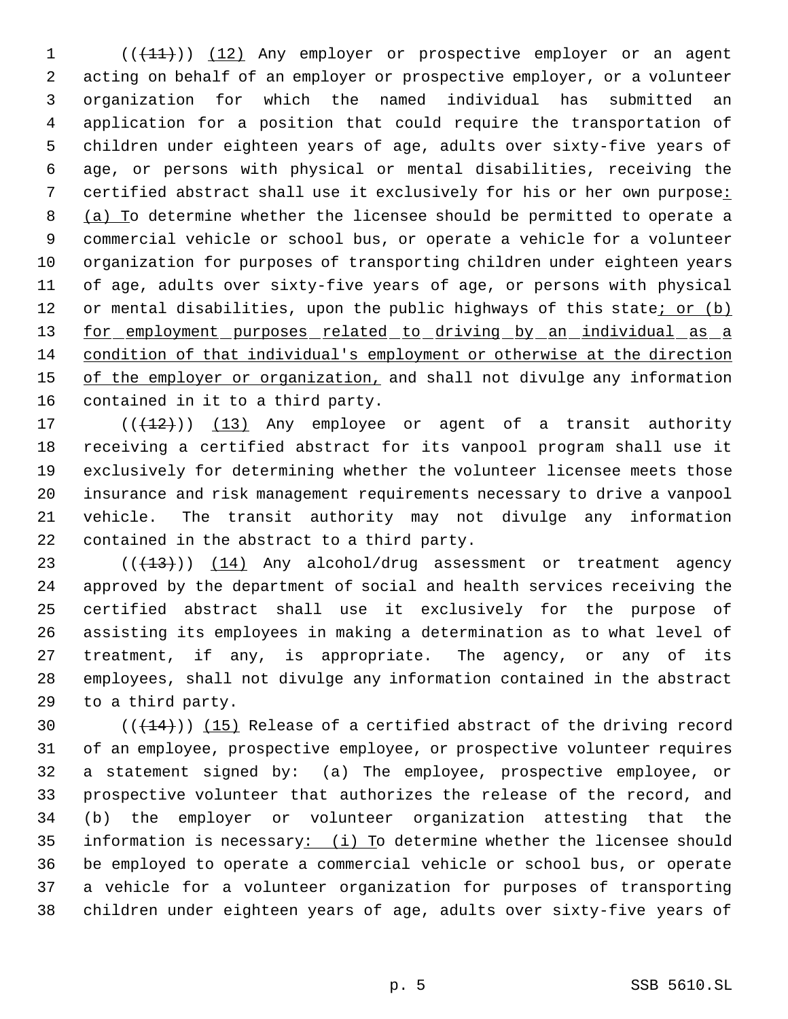1 (( $(11)$ )) (12) Any employer or prospective employer or an agent acting on behalf of an employer or prospective employer, or a volunteer organization for which the named individual has submitted an application for a position that could require the transportation of children under eighteen years of age, adults over sixty-five years of age, or persons with physical or mental disabilities, receiving the certified abstract shall use it exclusively for his or her own purpose: (a) To determine whether the licensee should be permitted to operate a commercial vehicle or school bus, or operate a vehicle for a volunteer organization for purposes of transporting children under eighteen years of age, adults over sixty-five years of age, or persons with physical 12 or mental disabilities, upon the public highways of this state<u>; or (b)</u> 13 for employment purposes related to driving by an individual as a condition of that individual's employment or otherwise at the direction 15 of the employer or organization, and shall not divulge any information contained in it to a third party.

17 (( $(12)$ )) (13) Any employee or agent of a transit authority receiving a certified abstract for its vanpool program shall use it exclusively for determining whether the volunteer licensee meets those insurance and risk management requirements necessary to drive a vanpool vehicle. The transit authority may not divulge any information contained in the abstract to a third party.

23 (( $(13)$ )) (14) Any alcohol/drug assessment or treatment agency approved by the department of social and health services receiving the certified abstract shall use it exclusively for the purpose of assisting its employees in making a determination as to what level of treatment, if any, is appropriate. The agency, or any of its employees, shall not divulge any information contained in the abstract to a third party.

 $((+14))$   $(15)$  Release of a certified abstract of the driving record of an employee, prospective employee, or prospective volunteer requires a statement signed by: (a) The employee, prospective employee, or prospective volunteer that authorizes the release of the record, and (b) the employer or volunteer organization attesting that the 35 information is necessary: (i) To determine whether the licensee should be employed to operate a commercial vehicle or school bus, or operate a vehicle for a volunteer organization for purposes of transporting children under eighteen years of age, adults over sixty-five years of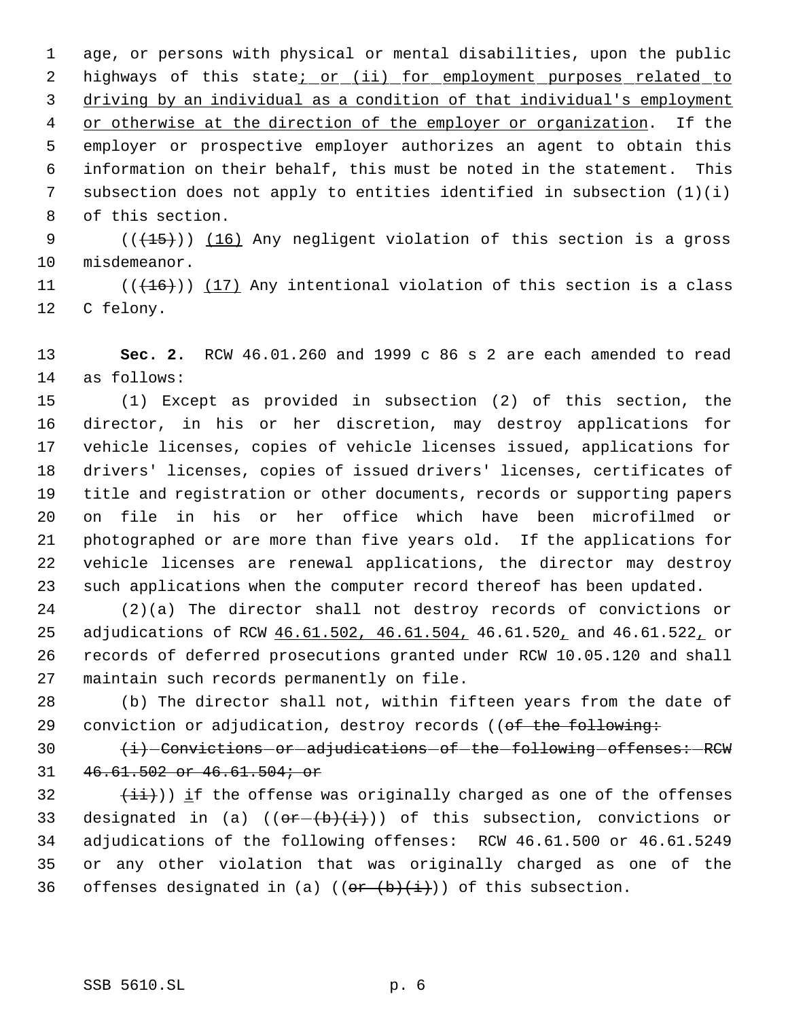age, or persons with physical or mental disabilities, upon the public 2 highways of this state<u>; or (ii) for employment purposes related to</u> driving by an individual as a condition of that individual's employment 4 or otherwise at the direction of the employer or organization. If the employer or prospective employer authorizes an agent to obtain this information on their behalf, this must be noted in the statement. This subsection does not apply to entities identified in subsection (1)(i) of this section.

 $((+15))$   $(16)$  Any negligent violation of this section is a gross misdemeanor.

11  $((+16))$   $(17)$  Any intentional violation of this section is a class C felony.

 **Sec. 2.** RCW 46.01.260 and 1999 c 86 s 2 are each amended to read as follows:

 (1) Except as provided in subsection (2) of this section, the director, in his or her discretion, may destroy applications for vehicle licenses, copies of vehicle licenses issued, applications for drivers' licenses, copies of issued drivers' licenses, certificates of title and registration or other documents, records or supporting papers on file in his or her office which have been microfilmed or photographed or are more than five years old. If the applications for vehicle licenses are renewal applications, the director may destroy such applications when the computer record thereof has been updated.

 (2)(a) The director shall not destroy records of convictions or 25 adjudications of RCW  $46.61.502$ ,  $46.61.504$ ,  $46.61.520$ , and  $46.61.522$ , or records of deferred prosecutions granted under RCW 10.05.120 and shall maintain such records permanently on file.

 (b) The director shall not, within fifteen years from the date of 29 conviction or adjudication, destroy records ((of the following:

30  $\leftarrow$   $\leftarrow$  Convictions or adjudications of the following offenses: RCW 46.61.502 or 46.61.504; or

32  $(iii)$ ) if the offense was originally charged as one of the offenses 33 designated in (a)  $((o \cdot \overline{b}) + (i))$  of this subsection, convictions or adjudications of the following offenses: RCW 46.61.500 or 46.61.5249 or any other violation that was originally charged as one of the 36 offenses designated in (a)  $((e^{e} + b)(i))$  of this subsection.